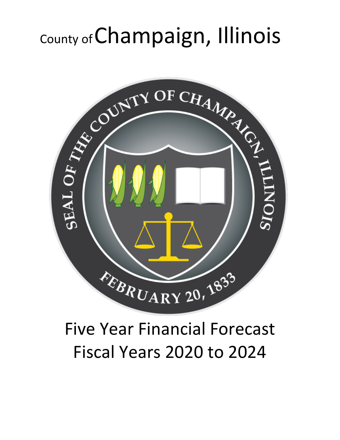# County ofChampaign, Illinois



## Five Year Financial Forecast Fiscal Years 2020 to 2024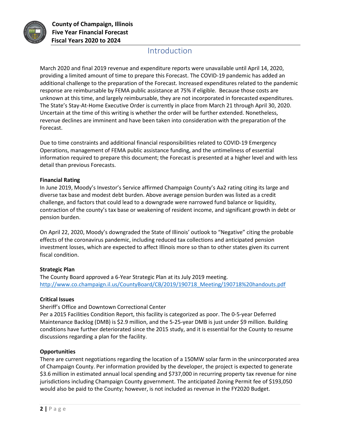

## Introduction

March 2020 and final 2019 revenue and expenditure reports were unavailable until April 14, 2020, providing a limited amount of time to prepare this Forecast. The COVID-19 pandemic has added an additional challenge to the preparation of the Forecast. Increased expenditures related to the pandemic response are reimbursable by FEMA public assistance at 75% if eligible. Because those costs are unknown at this time, and largely reimbursable, they are not incorporated in forecasted expenditures. The State's Stay-At-Home Executive Order is currently in place from March 21 through April 30, 2020. Uncertain at the time of this writing is whether the order will be further extended. Nonetheless, revenue declines are imminent and have been taken into consideration with the preparation of the Forecast.

Due to time constraints and additional financial responsibilities related to COVID-19 Emergency Operations, management of FEMA public assistance funding, and the untimeliness of essential information required to prepare this document; the Forecast is presented at a higher level and with less detail than previous Forecasts.

#### **Financial Rating**

In June 2019, Moody's Investor's Service affirmed Champaign County's Aa2 rating citing its large and diverse tax base and modest debt burden. Above average pension burden was listed as a credit challenge, and factors that could lead to a downgrade were narrowed fund balance or liquidity, contraction of the county's tax base or weakening of resident income, and significant growth in debt or pension burden.

On April 22, 2020, Moody's downgraded the State of Illinois' outlook to "Negative" citing the probable effects of the coronavirus pandemic, including reduced tax collections and anticipated pension investment losses, which are expected to affect Illinois more so than to other states given its current fiscal condition.

#### **Strategic Plan**

The County Board approved a 6-Year Strategic Plan at its July 2019 meeting. [http://www.co.champaign.il.us/CountyBoard/CB/2019/190718\\_Meeting/190718%20handouts.pdf](http://www.co.champaign.il.us/CountyBoard/CB/2019/190718_Meeting/190718%20handouts.pdf)

#### **Critical Issues**

Sheriff's Office and Downtown Correctional Center

Per a 2015 Facilities Condition Report, this facility is categorized as poor. The 0-5-year Deferred Maintenance Backlog (DMB) is \$2.9 million, and the 5-25-year DMB is just under \$9 million. Building conditions have further deteriorated since the 2015 study, and it is essential for the County to resume discussions regarding a plan for the facility.

#### **Opportunities**

There are current negotiations regarding the location of a 150MW solar farm in the unincorporated area of Champaign County. Per information provided by the developer, the project is expected to generate \$3.6 million in estimated annual local spending and \$737,000 in recurring property tax revenue for nine jurisdictions including Champaign County government. The anticipated Zoning Permit fee of \$193,050 would also be paid to the County; however, is not included as revenue in the FY2020 Budget.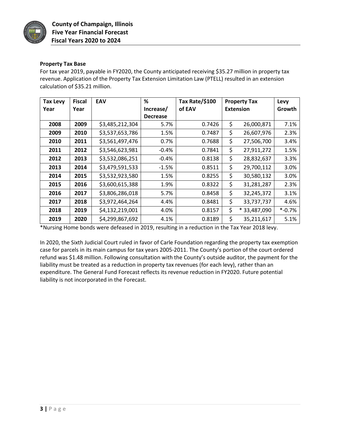

#### **Property Tax Base**

For tax year 2019, payable in FY2020, the County anticipated receiving \$35.27 million in property tax revenue. Application of the Property Tax Extension Limitation Law (PTELL) resulted in an extension calculation of \$35.21 million.

| <b>Tax Levy</b> | <b>Fiscal</b> | <b>EAV</b>      | %               | Tax Rate/\$100 | <b>Property Tax</b>   | Levy      |
|-----------------|---------------|-----------------|-----------------|----------------|-----------------------|-----------|
| Year            | Year          |                 | Increase/       | of EAV         | <b>Extension</b>      | Growth    |
|                 |               |                 | <b>Decrease</b> |                |                       |           |
| 2008            | 2009          | \$3,485,212,304 | 5.7%            | 0.7426         | \$<br>26,000,871      | 7.1%      |
| 2009            | 2010          | \$3,537,653,786 | 1.5%            | 0.7487         | \$<br>26,607,976      | 2.3%      |
| 2010            | 2011          | \$3,561,497,476 | $0.7\%$         | 0.7688         | \$<br>27,506,700      | 3.4%      |
| 2011            | 2012          | \$3,546,623,981 | $-0.4%$         | 0.7841         | \$<br>27,911,272      | 1.5%      |
| 2012            | 2013          | \$3,532,086,251 | $-0.4%$         | 0.8138         | \$<br>28,832,637      | 3.3%      |
| 2013            | 2014          | \$3,479,591,533 | $-1.5%$         | 0.8511         | \$<br>29,700,112      | 3.0%      |
| 2014            | 2015          | \$3,532,923,580 | 1.5%            | 0.8255         | \$<br>30,580,132      | 3.0%      |
| 2015            | 2016          | \$3,600,615,388 | 1.9%            | 0.8322         | \$<br>31,281,287      | 2.3%      |
| 2016            | 2017          | \$3,806,286,018 | 5.7%            | 0.8458         | \$<br>32,245,372      | 3.1%      |
| 2017            | 2018          | \$3,972,464,264 | 4.4%            | 0.8481         | \$<br>33,737,737      | 4.6%      |
| 2018            | 2019          | \$4,132,219,001 | 4.0%            | 0.8157         | \$<br>*<br>33,487,090 | $* -0.7%$ |
| 2019            | 2020          | \$4,299,867,692 | 4.1%            | 0.8189         | \$<br>35,211,617      | 5.1%      |

\*Nursing Home bonds were defeased in 2019, resulting in a reduction in the Tax Year 2018 levy.

In 2020, the Sixth Judicial Court ruled in favor of Carle Foundation regarding the property tax exemption case for parcels in its main campus for tax years 2005-2011. The County's portion of the court ordered refund was \$1.48 million. Following consultation with the County's outside auditor, the payment for the liability must be treated as a reduction in property tax revenues (for each levy), rather than an expenditure. The General Fund Forecast reflects its revenue reduction in FY2020. Future potential liability is not incorporated in the Forecast.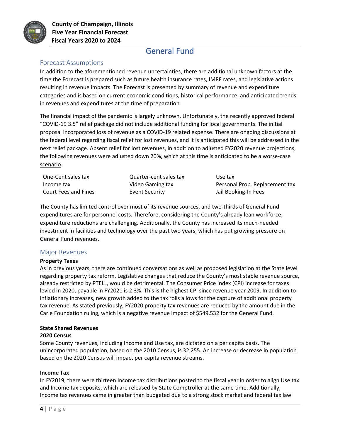

## General Fund

#### Forecast Assumptions

In addition to the aforementioned revenue uncertainties, there are additional unknown factors at the time the Forecast is prepared such as future health insurance rates, IMRF rates, and legislative actions resulting in revenue impacts. The Forecast is presented by summary of revenue and expenditure categories and is based on current economic conditions, historical performance, and anticipated trends in revenues and expenditures at the time of preparation.

The financial impact of the pandemic is largely unknown. Unfortunately, the recently approved federal "COVID-19 3.5" relief package did not include additional funding for local governments. The initial proposal incorporated loss of revenue as a COVID-19 related expense. There are ongoing discussions at the federal level regarding fiscal relief for lost revenues, and it is anticipated this will be addressed in the next relief package. Absent relief for lost revenues, in addition to adjusted FY2020 revenue projections, the following revenues were adjusted down 20%, which at this time is anticipated to be a worse-case scenario.

| One-Cent sales tax          | Quarter-cent sales tax | Use tax                        |
|-----------------------------|------------------------|--------------------------------|
| Income tax                  | Video Gaming tax       | Personal Prop. Replacement tax |
| <b>Court Fees and Fines</b> | Event Security         | Jail Booking-In Fees           |

The County has limited control over most of its revenue sources, and two-thirds of General Fund expenditures are for personnel costs. Therefore, considering the County's already lean workforce, expenditure reductions are challenging. Additionally, the County has increased its much-needed investment in facilities and technology over the past two years, which has put growing pressure on General Fund revenues.

#### Major Revenues

#### **Property Taxes**

As in previous years, there are continued conversations as well as proposed legislation at the State level regarding property tax reform. Legislative changes that reduce the County's most stable revenue source, already restricted by PTELL, would be detrimental. The Consumer Price Index (CPI) increase for taxes levied in 2020, payable in FY2021 is 2.3%. This is the highest CPI since revenue year 2009. In addition to inflationary increases, new growth added to the tax rolls allows for the capture of additional property tax revenue. As stated previously, FY2020 property tax revenues are reduced by the amount due in the Carle Foundation ruling, which is a negative revenue impact of \$549,532 for the General Fund.

### **State Shared Revenues**

#### **2020 Census**

Some County revenues, including Income and Use tax, are dictated on a per capita basis. The unincorporated population, based on the 2010 Census, is 32,255. An increase or decrease in population based on the 2020 Census will impact per capita revenue streams.

#### **Income Tax**

In FY2019, there were thirteen Income tax distributions posted to the fiscal year in order to align Use tax and Income tax deposits, which are released by State Comptroller at the same time. Additionally, Income tax revenues came in greater than budgeted due to a strong stock market and federal tax law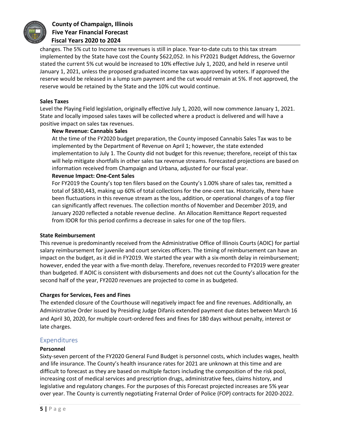

#### **County of Champaign, Illinois Five Year Financial Forecast Fiscal Years 2020 to 2024**

changes. The 5% cut to Income tax revenues is still in place. Year-to-date cuts to this tax stream implemented by the State have cost the County \$622,052. In his FY2021 Budget Address, the Governor stated the current 5% cut would be increased to 10% effective July 1, 2020, and held in reserve until January 1, 2021, unless the proposed graduated income tax was approved by voters. If approved the reserve would be released in a lump sum payment and the cut would remain at 5%. If not approved, the reserve would be retained by the State and the 10% cut would continue.

#### **Sales Taxes**

Level the Playing Field legislation, originally effective July 1, 2020, will now commence January 1, 2021. State and locally imposed sales taxes will be collected where a product is delivered and will have a positive impact on sales tax revenues.

#### **New Revenue: Cannabis Sales**

At the time of the FY2020 budget preparation, the County imposed Cannabis Sales Tax was to be implemented by the Department of Revenue on April 1; however, the state extended implementation to July 1. The County did not budget for this revenue; therefore, receipt of this tax will help mitigate shortfalls in other sales tax revenue streams. Forecasted projections are based on information received from Champaign and Urbana, adjusted for our fiscal year.

#### **Revenue Impact: One-Cent Sales**

For FY2019 the County's top ten filers based on the County's 1.00% share of sales tax, remitted a total of \$830,443, making up 60% of total collections for the one-cent tax. Historically, there have been fluctuations in this revenue stream as the loss, addition, or operational changes of a top filer can significantly affect revenues. The collection months of November and December 2019, and January 2020 reflected a notable revenue decline. An Allocation Remittance Report requested from IDOR for this period confirms a decrease in sales for one of the top filers.

#### **State Reimbursement**

This revenue is predominantly received from the Administrative Office of Illinois Courts (AOIC) for partial salary reimbursement for juvenile and court services officers. The timing of reimbursement can have an impact on the budget, as it did in FY2019. We started the year with a six-month delay in reimbursement; however, ended the year with a five-month delay. Therefore, revenues recorded to FY2019 were greater than budgeted. If AOIC is consistent with disbursements and does not cut the County's allocation for the second half of the year, FY2020 revenues are projected to come in as budgeted.

#### **Charges for Services, Fees and Fines**

The extended closure of the Courthouse will negatively impact fee and fine revenues. Additionally, an Administrative Order issued by Presiding Judge Difanis extended payment due dates between March 16 and April 30, 2020, for multiple court-ordered fees and fines for 180 days without penalty, interest or late charges.

#### Expenditures

#### **Personnel**

Sixty-seven percent of the FY2020 General Fund Budget is personnel costs, which includes wages, health and life insurance. The County's health insurance rates for 2021 are unknown at this time and are difficult to forecast as they are based on multiple factors including the composition of the risk pool, increasing cost of medical services and prescription drugs, administrative fees, claims history, and legislative and regulatory changes. For the purposes of this Forecast projected increases are 5% year over year. The County is currently negotiating Fraternal Order of Police (FOP) contracts for 2020-2022.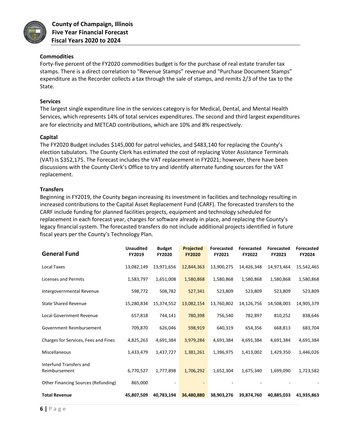

**County of Champaign, Illinois Five Year Financial Forecast Fiscal Years 2020 to 2024**

#### **Commodities**

Forty-five percent of the FY2020 commodities budget is for the purchase of real estate transfer tax stamps. There is a direct correlation to "Revenue Stamps" revenue and "Purchase Document Stamps" expenditure as the Recorder collects a tax through the sale of stamps, and remits 2/3 of the tax to the State.

#### **Services**

The largest single expenditure line in the services category is for Medical, Dental, and Mental Health Services, which represents 14% of total services expenditures. The second and third largest expenditures are for electricity and METCAD contributions, which are 10% and 8% respectively.

#### **Capital**

The FY2020 Budget includes \$145,000 for patrol vehicles, and \$483,140 for replacing the County's election tabulators. The County Clerk has estimated the cost of replacing Voter Assistance Terminals (VAT) is \$352,175. The Forecast includes the VAT replacement in FY2021; however, there have been discussions with the County Clerk's Office to try and identify alternate funding sources for the VAT replacement.

#### **Transfers**

Beginning in FY2019, the County began increasing its investment in facilities and technology resulting in increased contributions to the Capital Asset Replacement Fund (CARF). The forecasted transfers to the CARF include funding for planned facilities projects, equipment and technology scheduled for replacement in each forecast year, charges for software already in place, and replacing the County's legacy financial system. The forecasted transfers do not include additional projects identified in future fiscal years per the County's Technology Plan.

| <b>General Fund</b>                        | <b>Unaudited</b><br>FY2019 | <b>Budget</b><br><b>FY2020</b> | <b>Projected</b><br><b>FY2020</b> | <b>Forecasted</b><br>FY2021 | <b>Forecasted</b><br><b>FY2022</b> | <b>Forecasted</b><br><b>FY2023</b> | <b>Forecasted</b><br>FY2024 |
|--------------------------------------------|----------------------------|--------------------------------|-----------------------------------|-----------------------------|------------------------------------|------------------------------------|-----------------------------|
| Local Taxes                                | 13,082,149                 | 13,971,656                     | 12,844,363                        | 13,900,275                  | 14,426,348                         | 14,973,464                         | 15,542,465                  |
| Licenses and Permits                       | 1,583,797                  | 1,651,008                      | 1,580,868                         | 1,580,868                   | 1,580,868                          | 1,580,868                          | 1,580,868                   |
| Intergovernmental Revenue                  | 598,772                    | 508,782                        | 527,341                           | 523,809                     | 523,809                            | 523,809                            | 523,809                     |
| <b>State Shared Revenue</b>                | 15,280,834                 | 15,374,552                     | 13,082,154                        | 13,760,802                  | 14,126,756                         | 14,508,003                         | 14,905,379                  |
| <b>Local Government Revenue</b>            | 657,818                    | 744,141                        | 780,398                           | 756,540                     | 782,897                            | 810,252                            | 838,646                     |
| Government Reimbursement                   | 709,870                    | 626,046                        | 598,919                           | 640,319                     | 654,356                            | 668,813                            | 683,704                     |
| Charges for Services, Fees and Fines       | 4,825,263                  | 4,691,384                      | 3,979,284                         | 4,691,384                   | 4,691,384                          | 4,691,384                          | 4,691,384                   |
| Miscellaneous                              | 1,433,479                  | 1,437,727                      | 1,381,261                         | 1,396,975                   | 1,413,002                          | 1,429,350                          | 1,446,026                   |
| Interfund Transfers and<br>Reimbursement   | 6,770,527                  | 1,777,898                      | 1,706,292                         | 1,652,304                   | 1,675,340                          | 1,699,090                          | 1,723,582                   |
| <b>Other Financing Sources (Refunding)</b> | 865,000                    |                                |                                   |                             |                                    |                                    |                             |
| <b>Total Revenue</b>                       | 45,807,509                 | 40.783.194                     | 36,480,880                        | 38,903,276                  | 39,874,760                         | 40.885.033                         | 41,935,863                  |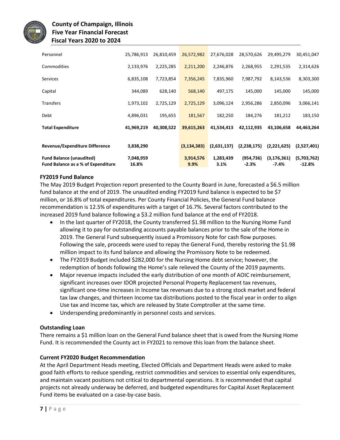

| Personnel                          | 25,786,913 | 26,810,459 | 26,572,982    | 27,676,028  | 28,570,626  | 29,495,279    | 30,451,047  |
|------------------------------------|------------|------------|---------------|-------------|-------------|---------------|-------------|
| Commodities                        | 2,133,976  | 2,225,285  | 2,211,200     | 2,246,876   | 2,268,955   | 2,291,535     | 2,314,626   |
| <b>Services</b>                    | 6,835,108  | 7,723,854  | 7,356,245     | 7,835,960   | 7,987,792   | 8,143,536     | 8,303,300   |
| Capital                            | 344,089    | 628,140    | 568,140       | 497,175     | 145,000     | 145,000       | 145,000     |
| <b>Transfers</b>                   | 1,973,102  | 2,725,129  | 2,725,129     | 3,096,124   | 2,956,286   | 2,850,096     | 3,066,141   |
| Debt                               | 4,896,031  | 195,655    | 181,567       | 182,250     | 184,276     | 181,212       | 183,150     |
| <b>Total Expenditure</b>           | 41,969,219 | 40,308,522 | 39,615,263    | 41,534,413  | 42,112,935  | 43,106,658    | 44,463,264  |
|                                    |            |            |               |             |             |               |             |
| Revenue/Expenditure Difference     | 3,838,290  |            | (3, 134, 383) | (2,631,137) | (2,238,175) | (2,221,625)   | (2,527,401) |
| <b>Fund Balance (unaudited)</b>    | 7,048,959  |            | 3,914,576     | 1,283,439   | (954, 736)  | (3, 176, 361) | (5,703,762) |
| Fund Balance as a % of Expenditure | 16.8%      |            | 9.9%          | 3.1%        | $-2.3%$     | $-7.4%$       | $-12.8%$    |

#### **FY2019 Fund Balance**

The May 2019 Budget Projection report presented to the County Board in June, forecasted a \$6.5 million fund balance at the end of 2019. The unaudited ending FY2019 fund balance is expected to be \$7 million, or 16.8% of total expenditures. Per County Financial Policies, the General Fund balance recommendation is 12.5% of expenditures with a target of 16.7%. Several factors contributed to the increased 2019 fund balance following a \$3.2 million fund balance at the end of FY2018.

- In the last quarter of FY2018, the County transferred \$1.98 million to the Nursing Home Fund allowing it to pay for outstanding accounts payable balances prior to the sale of the Home in 2019. The General Fund subsequently issued a Promissory Note for cash flow purposes. Following the sale, proceeds were used to repay the General Fund, thereby restoring the \$1.98 million impact to its fund balance and allowing the Promissory Note to be redeemed.
- The FY2019 Budget included \$282,000 for the Nursing Home debt service; however, the redemption of bonds following the Home's sale relieved the County of the 2019 payments.
- Major revenue impacts included the early distribution of one month of AOIC reimbursement, significant increases over IDOR projected Personal Property Replacement tax revenues, significant one-time increases in Income tax revenues due to a strong stock market and federal tax law changes, and thirteen Income tax distributions posted to the fiscal year in order to align Use tax and Income tax, which are released by State Comptroller at the same time.
- Underspending predominantly in personnel costs and services.

#### **Outstanding Loan**

There remains a \$1 million loan on the General Fund balance sheet that is owed from the Nursing Home Fund. It is recommended the County act in FY2021 to remove this loan from the balance sheet.

#### **Current FY2020 Budget Recommendation**

At the April Department Heads meeting, Elected Officials and Department Heads were asked to make good faith efforts to reduce spending, restrict commodities and services to essential only expenditures, and maintain vacant positions not critical to departmental operations. It is recommended that capital projects not already underway be deferred, and budgeted expenditures for Capital Asset Replacement Fund items be evaluated on a case-by-case basis.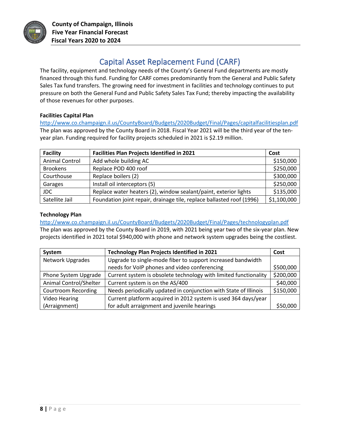

## Capital Asset Replacement Fund (CARF)

The facility, equipment and technology needs of the County's General Fund departments are mostly financed through this fund. Funding for CARF comes predominantly from the General and Public Safety Sales Tax fund transfers. The growing need for investment in facilities and technology continues to put pressure on both the General Fund and Public Safety Sales Tax Fund; thereby impacting the availability of those revenues for other purposes.

#### **Facilities Capital Plan**

<http://www.co.champaign.il.us/CountyBoard/Budgets/2020Budget/Final/Pages/capitalfacilitiesplan.pdf> The plan was approved by the County Board in 2018. Fiscal Year 2021 will be the third year of the tenyear plan. Funding required for facility projects scheduled in 2021 is \$2.19 million.

| <b>Facility</b>       | <b>Facilities Plan Projects Identified in 2021</b>                    | Cost        |
|-----------------------|-----------------------------------------------------------------------|-------------|
| <b>Animal Control</b> | Add whole building AC                                                 | \$150,000   |
| <b>Brookens</b>       | Replace POD 400 roof                                                  | \$250,000   |
| Courthouse            | Replace boilers (2)                                                   | \$300,000   |
| Garages               | Install oil interceptors (5)                                          | \$250,000   |
| JDC.                  | Replace water heaters (2), window sealant/paint, exterior lights      | \$135,000   |
| Satellite Jail        | Foundation joint repair, drainage tile, replace ballasted roof (1996) | \$1,100,000 |

#### **Technology Plan**

#### <http://www.co.champaign.il.us/CountyBoard/Budgets/2020Budget/Final/Pages/technologyplan.pdf>

The plan was approved by the County Board in 2019, with 2021 being year two of the six-year plan. New projects identified in 2021 total \$940,000 with phone and network system upgrades being the costliest.

| System                     | <b>Technology Plan Projects Identified in 2021</b>               | Cost      |
|----------------------------|------------------------------------------------------------------|-----------|
| Network Upgrades           | Upgrade to single-mode fiber to support increased bandwidth      |           |
|                            | needs for VoIP phones and video conferencing                     | \$500,000 |
| Phone System Upgrade       | Current system is obsolete technology with limited functionality | \$200,000 |
| Animal Control/Shelter     | Current system is on the AS/400                                  | \$40,000  |
| <b>Courtroom Recording</b> | Needs periodically updated in conjunction with State of Illinois | \$150,000 |
| <b>Video Hearing</b>       | Current platform acquired in 2012 system is used 364 days/year   |           |
| (Arraignment)              | for adult arraignment and juvenile hearings                      | \$50,000  |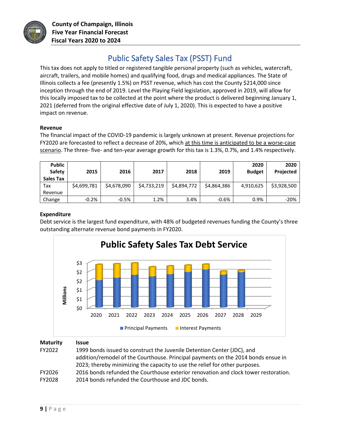

## Public Safety Sales Tax (PSST) Fund

This tax does not apply to titled or registered tangible personal property (such as vehicles, watercraft, aircraft, trailers, and mobile homes) and qualifying food, drugs and medical appliances. The State of Illinois collects a fee (presently 1.5%) on PSST revenue, which has cost the County \$214,000 since inception through the end of 2019. Level the Playing Field legislation, approved in 2019, will allow for this locally imposed tax to be collected at the point where the product is delivered beginning January 1, 2021 (deferred from the original effective date of July 1, 2020). This is expected to have a positive impact on revenue.

#### **Revenue**

The financial impact of the COVID-19 pandemic is largely unknown at present. Revenue projections for FY2020 are forecasted to reflect a decrease of 20%, which at this time is anticipated to be a worse-case scenario. The three- five- and ten-year average growth for this tax is 1.3%, 0.7%, and 1.4% respectively.

| <b>Public</b><br>Safety<br>Sales Tax | 2015        | 2016        | 2017        | 2018        | 2019        | 2020<br><b>Budget</b> | 2020<br>Projected |
|--------------------------------------|-------------|-------------|-------------|-------------|-------------|-----------------------|-------------------|
| Tax                                  | \$4,699,781 | \$4,678,090 | \$4,733,219 | \$4,894,772 | \$4,864,386 | 4,910,625             | \$3,928,500       |
| Revenue                              |             |             |             |             |             |                       |                   |
| Change                               | $-0.2%$     | $-0.5%$     | 1.2%        | 3.4%        | $-0.6%$     | 0.9%                  | $-20%$            |

#### **Expenditure**

Debt service is the largest fund expenditure, with 48% of budgeted revenues funding the County's three outstanding alternate revenue bond payments in FY2020.



| <b>Maturity</b><br>FY2022 | <b>Issue</b><br>1999 bonds issued to construct the Juvenile Detention Center (JDC), and<br>addition/remodel of the Courthouse. Principal payments on the 2014 bonds ensue in<br>2023; thereby minimizing the capacity to use the relief for other purposes. |
|---------------------------|-------------------------------------------------------------------------------------------------------------------------------------------------------------------------------------------------------------------------------------------------------------|
| FY2026                    | 2016 bonds refunded the Courthouse exterior renovation and clock tower restoration.                                                                                                                                                                         |
| FY2028                    | 2014 bonds refunded the Courthouse and JDC bonds.                                                                                                                                                                                                           |